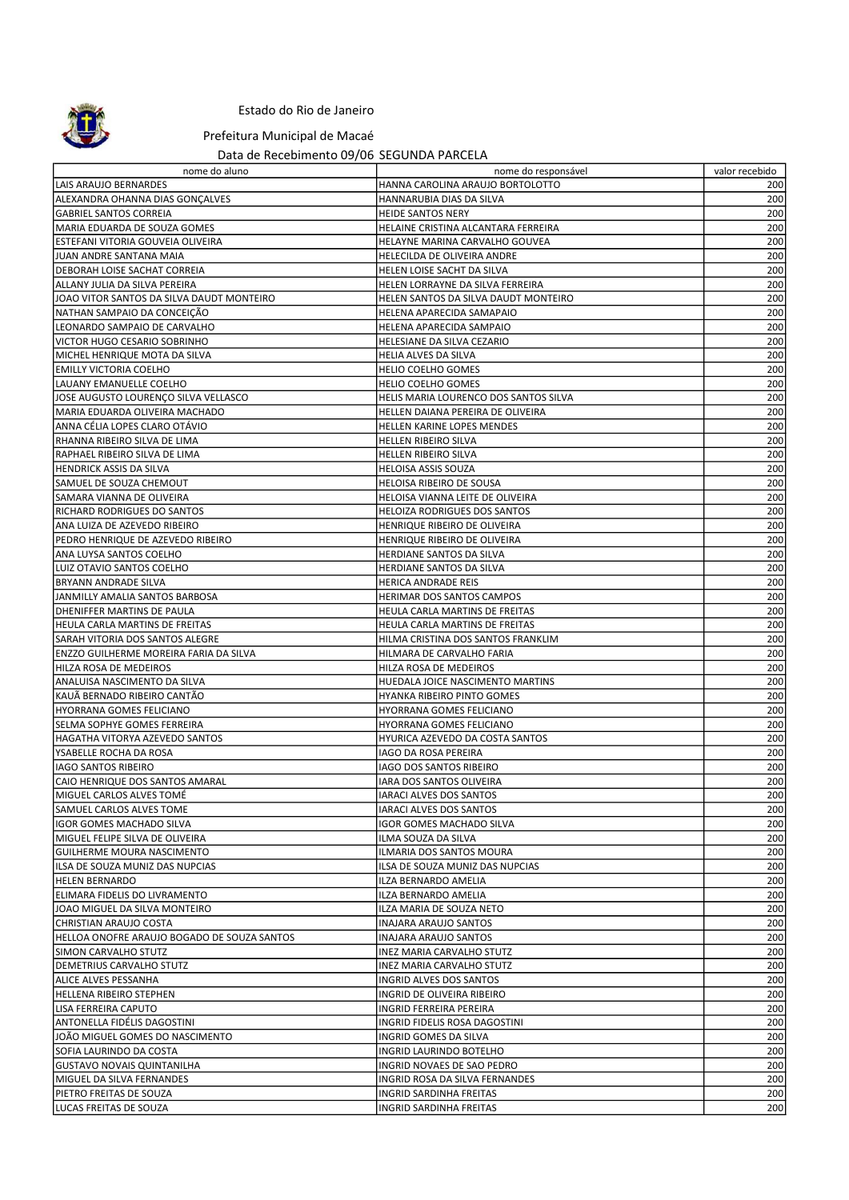

## Estado do Rio de Janeiro

Prefeitura Municipal de Macaé

## Data de Recebimento 09/06 SEGUNDA PARCELA

| nome do aluno                                                    | nome do responsável                                    | valor recebido |
|------------------------------------------------------------------|--------------------------------------------------------|----------------|
| LAIS ARAUJO BERNARDES                                            | HANNA CAROLINA ARAUJO BORTOLOTTO                       | 200            |
| ALEXANDRA OHANNA DIAS GONÇALVES                                  | HANNARUBIA DIAS DA SILVA                               | 200            |
| <b>GABRIEL SANTOS CORREIA</b>                                    | <b>HEIDE SANTOS NERY</b>                               | 200            |
| MARIA EDUARDA DE SOUZA GOMES                                     | HELAINE CRISTINA ALCANTARA FERREIRA                    | 200            |
| ESTEFANI VITORIA GOUVEIA OLIVEIRA                                | HELAYNE MARINA CARVALHO GOUVEA                         | 200            |
| JUAN ANDRE SANTANA MAIA                                          | HELECILDA DE OLIVEIRA ANDRE                            | 200            |
| DEBORAH LOISE SACHAT CORREIA                                     | HELEN LOISE SACHT DA SILVA                             | 200            |
| ALLANY JULIA DA SILVA PEREIRA                                    | HELEN LORRAYNE DA SILVA FERREIRA                       | 200            |
| JOAO VITOR SANTOS DA SILVA DAUDT MONTEIRO                        | HELEN SANTOS DA SILVA DAUDT MONTEIRO                   | 200            |
| NATHAN SAMPAIO DA CONCEIÇÃO                                      | HELENA APARECIDA SAMAPAIO                              | 200            |
| LEONARDO SAMPAIO DE CARVALHO                                     | HELENA APARECIDA SAMPAIO                               | 200            |
| VICTOR HUGO CESARIO SOBRINHO                                     | HELESIANE DA SILVA CEZARIO                             | 200            |
| MICHEL HENRIQUE MOTA DA SILVA                                    | HELIA ALVES DA SILVA                                   | 200            |
| <b>EMILLY VICTORIA COELHO</b><br>LAUANY EMANUELLE COELHO         | <b>HELIO COELHO GOMES</b><br>HELIO COELHO GOMES        | 200<br>200     |
| JOSE AUGUSTO LOURENÇO SILVA VELLASCO                             | HELIS MARIA LOURENCO DOS SANTOS SILVA                  | 200            |
| MARIA EDUARDA OLIVEIRA MACHADO                                   | HELLEN DAIANA PEREIRA DE OLIVEIRA                      | 200            |
| ANNA CÉLIA LOPES CLARO OTÁVIO                                    | HELLEN KARINE LOPES MENDES                             | 200            |
| RHANNA RIBEIRO SILVA DE LIMA                                     | HELLEN RIBEIRO SILVA                                   | 200            |
| RAPHAEL RIBEIRO SILVA DE LIMA                                    | HELLEN RIBEIRO SILVA                                   | 200            |
| HENDRICK ASSIS DA SILVA                                          | <b>HELOISA ASSIS SOUZA</b>                             | 200            |
| SAMUEL DE SOUZA CHEMOUT                                          | HELOISA RIBEIRO DE SOUSA                               | 200            |
| SAMARA VIANNA DE OLIVEIRA                                        | HELOISA VIANNA LEITE DE OLIVEIRA                       | 200            |
| <b>RICHARD RODRIGUES DO SANTOS</b>                               | <b>HELOIZA RODRIGUES DOS SANTOS</b>                    | 200            |
| ANA LUIZA DE AZEVEDO RIBEIRO                                     | HENRIQUE RIBEIRO DE OLIVEIRA                           | 200            |
| PEDRO HENRIQUE DE AZEVEDO RIBEIRO                                | HENRIQUE RIBEIRO DE OLIVEIRA                           | 200            |
| ANA LUYSA SANTOS COELHO                                          | HERDIANE SANTOS DA SILVA                               | 200            |
| LUIZ OTAVIO SANTOS COELHO                                        | HERDIANE SANTOS DA SILVA                               | 200            |
| BRYANN ANDRADE SILVA                                             | HERICA ANDRADE REIS                                    | 200            |
| JANMILLY AMALIA SANTOS BARBOSA                                   | HERIMAR DOS SANTOS CAMPOS                              | 200            |
| DHENIFFER MARTINS DE PAULA                                       | HEULA CARLA MARTINS DE FREITAS                         | 200            |
| HEULA CARLA MARTINS DE FREITAS                                   | HEULA CARLA MARTINS DE FREITAS                         | 200            |
| <b>SARAH VITORIA DOS SANTOS ALEGRE</b>                           | HILMA CRISTINA DOS SANTOS FRANKLIM                     | 200<br>200     |
| ENZZO GUILHERME MOREIRA FARIA DA SILVA<br>HILZA ROSA DE MEDEIROS | HILMARA DE CARVALHO FARIA<br>HILZA ROSA DE MEDEIROS    | 200            |
| ANALUISA NASCIMENTO DA SILVA                                     | HUEDALA JOICE NASCIMENTO MARTINS                       | 200            |
| KAUÃ BERNADO RIBEIRO CANTÃO                                      | HYANKA RIBEIRO PINTO GOMES                             | 200            |
| HYORRANA GOMES FELICIANO                                         | HYORRANA GOMES FELICIANO                               | 200            |
| <b>SELMA SOPHYE GOMES FERREIRA</b>                               | HYORRANA GOMES FELICIANO                               | 200            |
| HAGATHA VITORYA AZEVEDO SANTOS                                   | HYURICA AZEVEDO DA COSTA SANTOS                        | 200            |
| YSABELLE ROCHA DA ROSA                                           | <b>IAGO DA ROSA PEREIRA</b>                            | 200            |
| IAGO SANTOS RIBEIRO                                              | IAGO DOS SANTOS RIBEIRO                                | 200            |
| CAIO HENRIQUE DOS SANTOS AMARAL                                  | IARA DOS SANTOS OLIVEIRA                               | 200            |
| MIGUEL CARLOS ALVES TOMÉ                                         | IARACI ALVES DOS SANTOS                                | 200            |
| SAMUEL CARLOS ALVES TOME                                         | <b>IARACI ALVES DOS SANTOS</b>                         | 200            |
| IGOR GOMES MACHADO SILVA                                         | IGOR GOMES MACHADO SILVA                               | 200            |
| MIGUEL FELIPE SILVA DE OLIVEIRA                                  | ILMA SOUZA DA SILVA                                    | 200            |
| GUILHERME MOURA NASCIMENTO                                       | ILMARIA DOS SANTOS MOURA                               | 200            |
| ILSA DE SOUZA MUNIZ DAS NUPCIAS                                  | ILSA DE SOUZA MUNIZ DAS NUPCIAS                        | 200            |
| <b>HELEN BERNARDO</b>                                            | ILZA BERNARDO AMELIA                                   | 200            |
| ELIMARA FIDELIS DO LIVRAMENTO                                    | ILZA BERNARDO AMELIA                                   | 200            |
| JOAO MIGUEL DA SILVA MONTEIRO                                    | ILZA MARIA DE SOUZA NETO                               | 200            |
| CHRISTIAN ARAUJO COSTA                                           | INAJARA ARAUJO SANTOS                                  | 200            |
| HELLOA ONOFRE ARAUJO BOGADO DE SOUZA SANTOS                      | INAJARA ARAUJO SANTOS                                  | 200<br>200     |
| SIMON CARVALHO STUTZ<br>DEMETRIUS CARVALHO STUTZ                 | INEZ MARIA CARVALHO STUTZ<br>INEZ MARIA CARVALHO STUTZ | 200            |
| ALICE ALVES PESSANHA                                             | INGRID ALVES DOS SANTOS                                | 200            |
| HELLENA RIBEIRO STEPHEN                                          | INGRID DE OLIVEIRA RIBEIRO                             | 200            |
| LISA FERREIRA CAPUTO                                             | INGRID FERREIRA PEREIRA                                | 200            |
| ANTONELLA FIDÉLIS DAGOSTINI                                      | INGRID FIDELIS ROSA DAGOSTINI                          | 200            |
| JOÃO MIGUEL GOMES DO NASCIMENTO                                  | INGRID GOMES DA SILVA                                  | 200            |
| SOFIA LAURINDO DA COSTA                                          | INGRID LAURINDO BOTELHO                                | 200            |
| <b>GUSTAVO NOVAIS QUINTANILHA</b>                                | INGRID NOVAES DE SAO PEDRO                             | 200            |
| MIGUEL DA SILVA FERNANDES                                        | INGRID ROSA DA SILVA FERNANDES                         | 200            |
| PIETRO FREITAS DE SOUZA                                          | INGRID SARDINHA FREITAS                                | 200            |
| LUCAS FREITAS DE SOUZA                                           | INGRID SARDINHA FREITAS                                | 200            |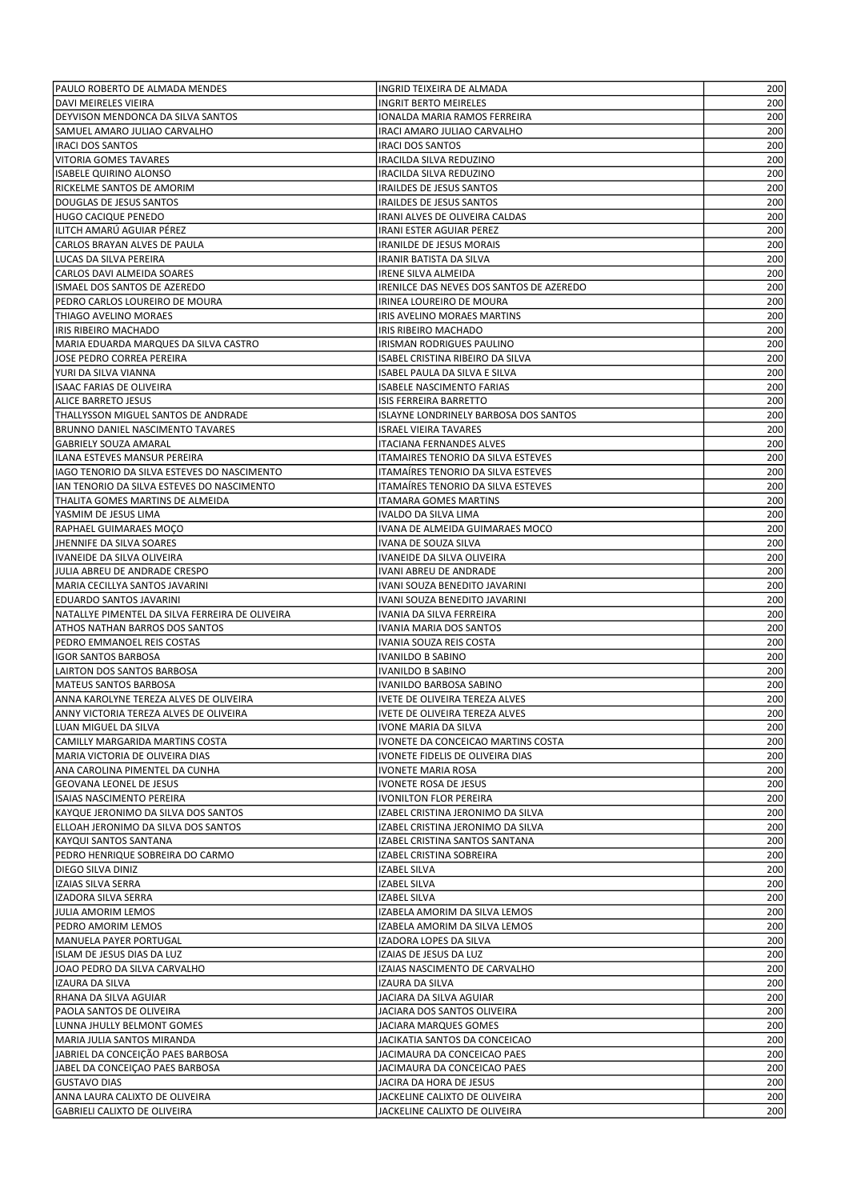| PAULO ROBERTO DE ALMADA MENDES                                             | INGRID TEIXEIRA DE ALMADA                                       | 200        |
|----------------------------------------------------------------------------|-----------------------------------------------------------------|------------|
| DAVI MEIRELES VIEIRA                                                       | <b>INGRIT BERTO MEIRELES</b>                                    | 200        |
| DEYVISON MENDONCA DA SILVA SANTOS                                          | IONALDA MARIA RAMOS FERREIRA                                    | 200        |
| SAMUEL AMARO JULIAO CARVALHO                                               | IRACI AMARO JULIAO CARVALHO                                     | 200        |
| <b>IRACI DOS SANTOS</b>                                                    | <b>IRACI DOS SANTOS</b>                                         | 200        |
| VITORIA GOMES TAVARES                                                      | IRACILDA SILVA REDUZINO                                         | 200        |
| ISABELE QUIRINO ALONSO                                                     | IRACILDA SILVA REDUZINO                                         | 200        |
| RICKELME SANTOS DE AMORIM<br>DOUGLAS DE JESUS SANTOS                       | <b>IRAILDES DE JESUS SANTOS</b><br>IRAILDES DE JESUS SANTOS     | 200<br>200 |
| HUGO CACIQUE PENEDO                                                        | IRANI ALVES DE OLIVEIRA CALDAS                                  | 200        |
| ILITCH AMARÚ AGUIAR PÉREZ                                                  | IRANI ESTER AGUIAR PEREZ                                        | 200        |
| CARLOS BRAYAN ALVES DE PAULA                                               | IRANILDE DE JESUS MORAIS                                        | 200        |
| LUCAS DA SILVA PEREIRA                                                     | IRANIR BATISTA DA SILVA                                         | 200        |
| CARLOS DAVI ALMEIDA SOARES                                                 | <b>IRENE SILVA ALMEIDA</b>                                      | 200        |
| ISMAEL DOS SANTOS DE AZEREDO                                               | IRENILCE DAS NEVES DOS SANTOS DE AZEREDO                        | 200        |
| PEDRO CARLOS LOUREIRO DE MOURA                                             | IRINEA LOUREIRO DE MOURA                                        | 200        |
| THIAGO AVELINO MORAES                                                      | IRIS AVELINO MORAES MARTINS                                     | 200        |
| IRIS RIBEIRO MACHADO                                                       | IRIS RIBEIRO MACHADO                                            | 200        |
| MARIA EDUARDA MARQUES DA SILVA CASTRO                                      | IRISMAN RODRIGUES PAULINO                                       | 200        |
| JOSE PEDRO CORREA PEREIRA                                                  | ISABEL CRISTINA RIBEIRO DA SILVA                                | 200        |
| YURI DA SILVA VIANNA                                                       | ISABEL PAULA DA SILVA E SILVA                                   | 200        |
| ISAAC FARIAS DE OLIVEIRA                                                   | <b>ISABELE NASCIMENTO FARIAS</b>                                | 200        |
| <b>ALICE BARRETO JESUS</b><br> THALLYSSON MIGUEL SANTOS DE ANDRADE         | ISIS FERREIRA BARRETTO<br>ISLAYNE LONDRINELY BARBOSA DOS SANTOS | 200<br>200 |
| <b>BRUNNO DANIEL NASCIMENTO TAVARES</b>                                    | <b>ISRAEL VIEIRA TAVARES</b>                                    | 200        |
| <b>GABRIELY SOUZA AMARAL</b>                                               | <b>ITACIANA FERNANDES ALVES</b>                                 | 200        |
| ILANA ESTEVES MANSUR PEREIRA                                               | ITAMAIRES TENORIO DA SILVA ESTEVES                              | 200        |
| IAGO TENORIO DA SILVA ESTEVES DO NASCIMENTO                                | ITAMAÍRES TENORIO DA SILVA ESTEVES                              | 200        |
| IAN TENORIO DA SILVA ESTEVES DO NASCIMENTO                                 | ITAMAÍRES TENORIO DA SILVA ESTEVES                              | 200        |
| THALITA GOMES MARTINS DE ALMEIDA                                           | ITAMARA GOMES MARTINS                                           | 200        |
| YASMIM DE JESUS LIMA                                                       | IVALDO DA SILVA LIMA                                            | 200        |
| RAPHAEL GUIMARAES MOÇO                                                     | IVANA DE ALMEIDA GUIMARAES MOCO                                 | 200        |
| JHENNIFE DA SILVA SOARES                                                   | IVANA DE SOUZA SILVA                                            | 200        |
| IVANEIDE DA SILVA OLIVEIRA                                                 | IVANEIDE DA SILVA OLIVEIRA                                      | 200        |
| JULIA ABREU DE ANDRADE CRESPO                                              | IVANI ABREU DE ANDRADE                                          | 200        |
| MARIA CECILLYA SANTOS JAVARINI                                             | IVANI SOUZA BENEDITO JAVARINI                                   | 200        |
| EDUARDO SANTOS JAVARINI<br>NATALLYE PIMENTEL DA SILVA FERREIRA DE OLIVEIRA | IVANI SOUZA BENEDITO JAVARINI                                   | 200<br>200 |
| ATHOS NATHAN BARROS DOS SANTOS                                             | IVANIA DA SILVA FERREIRA<br>IVANIA MARIA DOS SANTOS             | 200        |
| PEDRO EMMANOEL REIS COSTAS                                                 | IVANIA SOUZA REIS COSTA                                         | 200        |
| <b>IGOR SANTOS BARBOSA</b>                                                 | IVANILDO B SABINO                                               | 200        |
| LAIRTON DOS SANTOS BARBOSA                                                 | IVANILDO B SABINO                                               | 200        |
| <b>MATEUS SANTOS BARBOSA</b>                                               | IVANILDO BARBOSA SABINO                                         | 200        |
| ANNA KAROLYNE TEREZA ALVES DE OLIVEIRA                                     | IVETE DE OLIVEIRA TEREZA ALVES                                  | 200        |
| ANNY VICTORIA TEREZA ALVES DE OLIVEIRA                                     | <b>IVETE DE OLIVEIRA TEREZA ALVES</b>                           | 200        |
| LUAN MIGUEL DA SILVA                                                       | <b>IVONE MARIA DA SILVA</b>                                     | 200        |
| CAMILLY MARGARIDA MARTINS COSTA                                            | IVONETE DA CONCEICAO MARTINS COSTA                              | 200        |
| MARIA VICTORIA DE OLIVEIRA DIAS                                            | IVONETE FIDELIS DE OLIVEIRA DIAS                                | 200        |
| ANA CAROLINA PIMENTEL DA CUNHA                                             | <b>IVONETE MARIA ROSA</b>                                       | 200        |
| GEOVANA LEONEL DE JESUS                                                    | <b>IVONETE ROSA DE JESUS</b>                                    | 200        |
| ISAIAS NASCIMENTO PEREIRA<br> KAYQUE JERONIMO DA SILVA DOS SANTOS          | IVONILTON FLOR PEREIRA<br>IZABEL CRISTINA JERONIMO DA SILVA     | 200<br>200 |
| ELLOAH JERONIMO DA SILVA DOS SANTOS                                        | IZABEL CRISTINA JERONIMO DA SILVA                               | 200        |
| KAYQUI SANTOS SANTANA                                                      | IZABEL CRISTINA SANTOS SANTANA                                  | 200        |
| PEDRO HENRIQUE SOBREIRA DO CARMO                                           | IZABEL CRISTINA SOBREIRA                                        | 200        |
| DIEGO SILVA DINIZ                                                          | <b>IZABEL SILVA</b>                                             | 200        |
| IZAIAS SILVA SERRA                                                         | IZABEL SILVA                                                    | 200        |
| IZADORA SILVA SERRA                                                        | IZABEL SILVA                                                    | 200        |
| JULIA AMORIM LEMOS                                                         | IZABELA AMORIM DA SILVA LEMOS                                   | 200        |
| PEDRO AMORIM LEMOS                                                         | IZABELA AMORIM DA SILVA LEMOS                                   | 200        |
| MANUELA PAYER PORTUGAL                                                     | IZADORA LOPES DA SILVA                                          | 200        |
| ISLAM DE JESUS DIAS DA LUZ                                                 | IZAIAS DE JESUS DA LUZ                                          | 200        |
| JOAO PEDRO DA SILVA CARVALHO                                               | IZAIAS NASCIMENTO DE CARVALHO                                   | 200        |
| IZAURA DA SILVA                                                            | IZAURA DA SILVA                                                 | 200        |
| RHANA DA SILVA AGUIAR                                                      | JACIARA DA SILVA AGUIAR                                         | 200        |
| PAOLA SANTOS DE OLIVEIRA                                                   | JACIARA DOS SANTOS OLIVEIRA                                     | 200        |
| LUNNA JHULLY BELMONT GOMES<br>MARIA JULIA SANTOS MIRANDA                   | JACIARA MARQUES GOMES<br>JACIKATIA SANTOS DA CONCEICAO          | 200<br>200 |
| JABRIEL DA CONCEIÇÃO PAES BARBOSA                                          | JACIMAURA DA CONCEICAO PAES                                     | 200        |
| JABEL DA CONCEIÇAO PAES BARBOSA                                            | JACIMAURA DA CONCEICAO PAES                                     | 200        |
| GUSTAVO DIAS                                                               | JACIRA DA HORA DE JESUS                                         | 200        |
| ANNA LAURA CALIXTO DE OLIVEIRA                                             | JACKELINE CALIXTO DE OLIVEIRA                                   | 200        |
| GABRIELI CALIXTO DE OLIVEIRA                                               | JACKELINE CALIXTO DE OLIVEIRA                                   | 200        |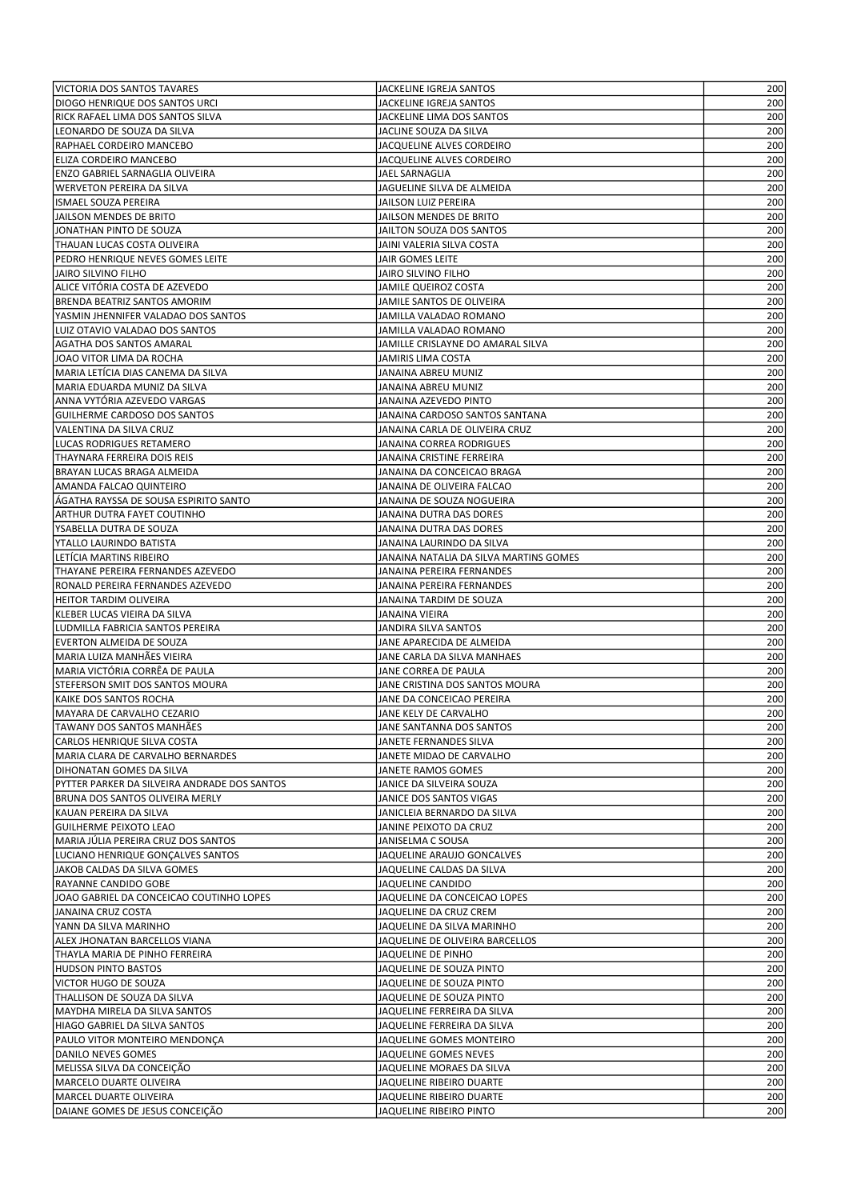| VICTORIA DOS SANTOS TAVARES                                       | JACKELINE IGREJA SANTOS                           | 200        |
|-------------------------------------------------------------------|---------------------------------------------------|------------|
| DIOGO HENRIQUE DOS SANTOS URCI                                    | JACKELINE IGREJA SANTOS                           | 200        |
| RICK RAFAEL LIMA DOS SANTOS SILVA                                 | JACKELINE LIMA DOS SANTOS                         | 200        |
| LEONARDO DE SOUZA DA SILVA                                        | JACLINE SOUZA DA SILVA                            | 200        |
| RAPHAEL CORDEIRO MANCEBO                                          | JACQUELINE ALVES CORDEIRO                         | 200        |
| ELIZA CORDEIRO MANCEBO                                            | JACQUELINE ALVES CORDEIRO                         | 200        |
| ENZO GABRIEL SARNAGLIA OLIVEIRA                                   | JAEL SARNAGLIA                                    | 200        |
| <b>WERVETON PEREIRA DA SILVA</b>                                  | JAGUELINE SILVA DE ALMEIDA                        | 200        |
| ISMAEL SOUZA PEREIRA                                              | JAILSON LUIZ PEREIRA                              | 200        |
| JAILSON MENDES DE BRITO                                           | JAILSON MENDES DE BRITO                           | 200        |
| JONATHAN PINTO DE SOUZA                                           | JAILTON SOUZA DOS SANTOS                          | 200        |
| THAUAN LUCAS COSTA OLIVEIRA                                       | JAINI VALERIA SILVA COSTA                         | 200        |
| PEDRO HENRIQUE NEVES GOMES LEITE                                  | JAIR GOMES LEITE                                  | 200        |
| JAIRO SILVINO FILHO                                               | JAIRO SILVINO FILHO                               | 200        |
| ALICE VITÓRIA COSTA DE AZEVEDO                                    | <b>JAMILE QUEIROZ COSTA</b>                       | 200        |
| <b>BRENDA BEATRIZ SANTOS AMORIM</b>                               | JAMILE SANTOS DE OLIVEIRA                         | 200        |
| YASMIN JHENNIFER VALADAO DOS SANTOS                               | JAMILLA VALADAO ROMANO                            | 200        |
| LUIZ OTAVIO VALADAO DOS SANTOS                                    | JAMILLA VALADAO ROMANO                            | 200        |
| <b>AGATHA DOS SANTOS AMARAL</b>                                   | JAMILLE CRISLAYNE DO AMARAL SILVA                 | 200        |
| JOAO VITOR LIMA DA ROCHA                                          | JAMIRIS LIMA COSTA                                | 200        |
| MARIA LETÍCIA DIAS CANEMA DA SILVA                                | JANAINA ABREU MUNIZ                               | 200        |
| MARIA EDUARDA MUNIZ DA SILVA                                      | JANAINA ABREU MUNIZ                               | 200        |
| ANNA VYTÓRIA AZEVEDO VARGAS                                       | JANAINA AZEVEDO PINTO                             | 200        |
| GUILHERME CARDOSO DOS SANTOS                                      | JANAINA CARDOSO SANTOS SANTANA                    | 200        |
| VALENTINA DA SILVA CRUZ                                           | JANAINA CARLA DE OLIVEIRA CRUZ                    | 200        |
| LUCAS RODRIGUES RETAMERO                                          | JANAINA CORREA RODRIGUES                          | 200        |
| THAYNARA FERREIRA DOIS REIS                                       | JANAINA CRISTINE FERREIRA                         | 200        |
| BRAYAN LUCAS BRAGA ALMEIDA                                        | JANAINA DA CONCEICAO BRAGA                        | 200        |
| <b>AMANDA FALCAO QUINTEIRO</b>                                    | JANAINA DE OLIVEIRA FALCAO                        | 200        |
| AGATHA RAYSSA DE SOUSA ESPIRITO SANTO                             | JANAINA DE SOUZA NOGUEIRA                         | 200        |
| ARTHUR DUTRA FAYET COUTINHO                                       | JANAINA DUTRA DAS DORES                           | 200        |
| YSABELLA DUTRA DE SOUZA                                           | JANAINA DUTRA DAS DORES                           | 200        |
| YTALLO LAURINDO BATISTA                                           | JANAINA LAURINDO DA SILVA                         | 200        |
| LETICIA MARTINS RIBEIRO                                           | JANAINA NATALIA DA SILVA MARTINS GOMES            | 200        |
| THAYANE PEREIRA FERNANDES AZEVEDO                                 | JANAINA PEREIRA FERNANDES                         | 200        |
| RONALD PEREIRA FERNANDES AZEVEDO<br><b>HEITOR TARDIM OLIVEIRA</b> | JANAINA PEREIRA FERNANDES                         | 200        |
|                                                                   | JANAINA TARDIM DE SOUZA                           | 200        |
| KLEBER LUCAS VIEIRA DA SILVA<br>LUDMILLA FABRICIA SANTOS PEREIRA  | JANAINA VIEIRA                                    | 200        |
| EVERTON ALMEIDA DE SOUZA                                          | JANDIRA SILVA SANTOS<br>JANE APARECIDA DE ALMEIDA | 200<br>200 |
| MARIA LUIZA MANHÃES VIEIRA                                        | JANE CARLA DA SILVA MANHAES                       | 200        |
| MARIA VICTÓRIA CORRÊA DE PAULA                                    | JANE CORREA DE PAULA                              | 200        |
| STEFERSON SMIT DOS SANTOS MOURA                                   | JANE CRISTINA DOS SANTOS MOURA                    | 200        |
| KAIKE DOS SANTOS ROCHA                                            | JANE DA CONCEICAO PEREIRA                         | 200        |
| MAYARA DE CARVALHO CEZARIO                                        | JANE KELY DE CARVALHO                             | 200        |
| TAWANY DOS SANTOS MANHÃES                                         | JANE SANTANNA DOS SANTOS                          | 200        |
| CARLOS HENRIQUE SILVA COSTA                                       | JANETE FERNANDES SILVA                            | 200        |
| MARIA CLARA DE CARVALHO BERNARDES                                 | JANETE MIDAO DE CARVALHO                          | 200        |
| DIHONATAN GOMES DA SILVA                                          | JANETE RAMOS GOMES                                | 200        |
| PYTTER PARKER DA SILVEIRA ANDRADE DOS SANTOS                      | JANICE DA SILVEIRA SOUZA                          | 200        |
| BRUNA DOS SANTOS OLIVEIRA MERLY                                   | JANICE DOS SANTOS VIGAS                           | 200        |
| KAUAN PEREIRA DA SILVA                                            | JANICLEIA BERNARDO DA SILVA                       | 200        |
| <b>GUILHERME PEIXOTO LEAO</b>                                     | JANINE PEIXOTO DA CRUZ                            | 200        |
| MARIA JÚLIA PEREIRA CRUZ DOS SANTOS                               | JANISELMA C SOUSA                                 | 200        |
| LUCIANO HENRIQUE GONÇALVES SANTOS                                 | JAQUELINE ARAUJO GONCALVES                        | 200        |
| JAKOB CALDAS DA SILVA GOMES                                       | JAQUELINE CALDAS DA SILVA                         | 200        |
| RAYANNE CANDIDO GOBE                                              | JAQUELINE CANDIDO                                 | 200        |
| JOAO GABRIEL DA CONCEICAO COUTINHO LOPES                          | JAQUELINE DA CONCEICAO LOPES                      | 200        |
| JANAINA CRUZ COSTA                                                | JAQUELINE DA CRUZ CREM                            | 200        |
| YANN DA SILVA MARINHO                                             | JAQUELINE DA SILVA MARINHO                        | 200        |
| ALEX JHONATAN BARCELLOS VIANA                                     | JAQUELINE DE OLIVEIRA BARCELLOS                   | 200        |
| THAYLA MARIA DE PINHO FERREIRA                                    | JAQUELINE DE PINHO                                | 200        |
| HUDSON PINTO BASTOS                                               | JAQUELINE DE SOUZA PINTO                          | 200        |
| VICTOR HUGO DE SOUZA                                              | JAQUELINE DE SOUZA PINTO                          | 200        |
| THALLISON DE SOUZA DA SILVA                                       | JAQUELINE DE SOUZA PINTO                          | 200        |
| MAYDHA MIRELA DA SILVA SANTOS                                     | JAQUELINE FERREIRA DA SILVA                       | 200        |
| HIAGO GABRIEL DA SILVA SANTOS                                     | JAQUELINE FERREIRA DA SILVA                       | 200        |
| PAULO VITOR MONTEIRO MENDONÇA                                     | JAQUELINE GOMES MONTEIRO                          | 200        |
| DANILO NEVES GOMES                                                | JAQUELINE GOMES NEVES                             | 200        |
| MELISSA SILVA DA CONCEIÇÃO                                        | JAQUELINE MORAES DA SILVA                         | 200        |
| MARCELO DUARTE OLIVEIRA                                           | JAQUELINE RIBEIRO DUARTE                          | 200        |
| MARCEL DUARTE OLIVEIRA                                            | JAQUELINE RIBEIRO DUARTE                          | 200        |
| DAIANE GOMES DE JESUS CONCEIÇÃO                                   | JAQUELINE RIBEIRO PINTO                           | 200        |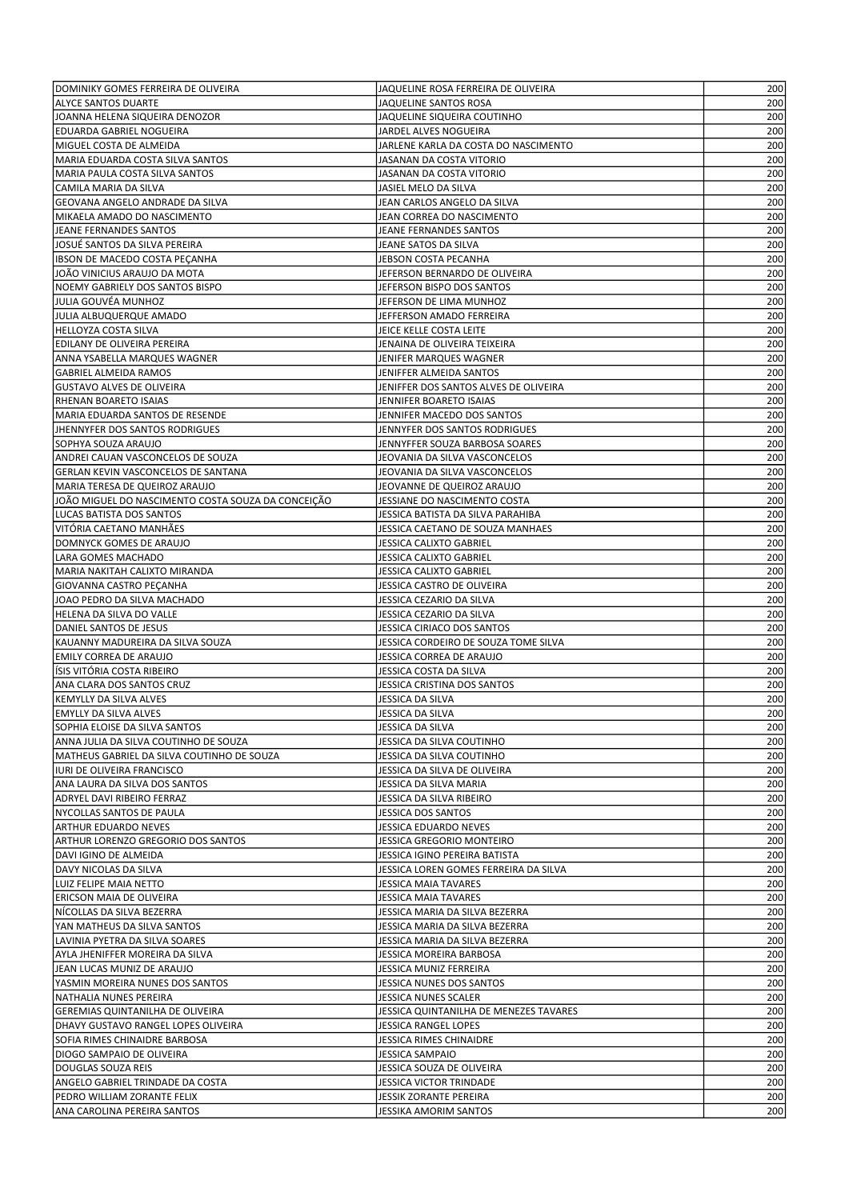| DOMINIKY GOMES FERREIRA DE OLIVEIRA                             | JAQUELINE ROSA FERREIRA DE OLIVEIRA                         | 200        |
|-----------------------------------------------------------------|-------------------------------------------------------------|------------|
| <b>ALYCE SANTOS DUARTE</b>                                      | JAQUELINE SANTOS ROSA                                       | 200        |
| JOANNA HELENA SIQUEIRA DENOZOR                                  | JAQUELINE SIQUEIRA COUTINHO                                 | 200        |
| <b>EDUARDA GABRIEL NOGUEIRA</b>                                 | JARDEL ALVES NOGUEIRA                                       | 200        |
| MIGUEL COSTA DE ALMEIDA                                         | JARLENE KARLA DA COSTA DO NASCIMENTO                        | 200        |
| MARIA EDUARDA COSTA SILVA SANTOS                                | JASANAN DA COSTA VITORIO                                    | 200        |
| MARIA PAULA COSTA SILVA SANTOS                                  | JASANAN DA COSTA VITORIO                                    | 200        |
| CAMILA MARIA DA SILVA                                           | JASIEL MELO DA SILVA                                        | 200        |
| GEOVANA ANGELO ANDRADE DA SILVA                                 | JEAN CARLOS ANGELO DA SILVA                                 | 200        |
| MIKAELA AMADO DO NASCIMENTO                                     | JEAN CORREA DO NASCIMENTO                                   | 200        |
| JEANE FERNANDES SANTOS                                          | JEANE FERNANDES SANTOS                                      | 200        |
| JOSUÉ SANTOS DA SILVA PEREIRA                                   | JEANE SATOS DA SILVA                                        | 200        |
| IBSON DE MACEDO COSTA PEÇANHA                                   | JEBSON COSTA PECANHA                                        | 200        |
| JOÃO VINICIUS ARAUJO DA MOTA                                    | JEFERSON BERNARDO DE OLIVEIRA                               | 200        |
| NOEMY GABRIELY DOS SANTOS BISPO                                 | JEFERSON BISPO DOS SANTOS                                   | 200        |
| JULIA GOUVÉA MUNHOZ                                             | JEFERSON DE LIMA MUNHOZ                                     | 200        |
| JULIA ALBUQUERQUE AMADO                                         | JEFFERSON AMADO FERREIRA                                    | 200        |
| HELLOYZA COSTA SILVA                                            | JEICE KELLE COSTA LEITE                                     | 200        |
| EDILANY DE OLIVEIRA PEREIRA                                     | JENAINA DE OLIVEIRA TEIXEIRA                                | 200        |
| ANNA YSABELLA MARQUES WAGNER                                    | JENIFER MARQUES WAGNER                                      | 200        |
| <b>GABRIEL ALMEIDA RAMOS</b>                                    | JENIFFER ALMEIDA SANTOS                                     | 200        |
| <b>GUSTAVO ALVES DE OLIVEIRA</b>                                | JENIFFER DOS SANTOS ALVES DE OLIVEIRA                       | 200        |
| RHENAN BOARETO ISAIAS                                           | JENNIFER BOARETO ISAIAS                                     | 200        |
| MARIA EDUARDA SANTOS DE RESENDE                                 | JENNIFER MACEDO DOS SANTOS                                  | 200        |
| JHENNYFER DOS SANTOS RODRIGUES                                  | JENNYFER DOS SANTOS RODRIGUES                               | 200        |
| SOPHYA SOUZA ARAUJO                                             | JENNYFFER SOUZA BARBOSA SOARES                              | 200        |
| ANDREI CAUAN VASCONCELOS DE SOUZA                               | JEOVANIA DA SILVA VASCONCELOS                               | 200        |
| GERLAN KEVIN VASCONCELOS DE SANTANA                             | JEOVANIA DA SILVA VASCONCELOS                               | 200        |
| MARIA TERESA DE QUEIROZ ARAUJO                                  | JEOVANNE DE QUEIROZ ARAUJO                                  | 200        |
| JOÃO MIGUEL DO NASCIMENTO COSTA SOUZA DA CONCEIÇÃO              | JESSIANE DO NASCIMENTO COSTA                                | 200        |
| <b>LUCAS BATISTA DOS SANTOS</b><br>VITÓRIA CAETANO MANHÃES      | JESSICA BATISTA DA SILVA PARAHIBA                           | 200        |
| DOMNYCK GOMES DE ARAUJO                                         | JESSICA CAETANO DE SOUZA MANHAES<br>JESSICA CALIXTO GABRIEL | 200<br>200 |
| LARA GOMES MACHADO                                              | JESSICA CALIXTO GABRIEL                                     | 200        |
| MARIA NAKITAH CALIXTO MIRANDA                                   | JESSICA CALIXTO GABRIEL                                     | 200        |
| GIOVANNA CASTRO PEÇANHA                                         | JESSICA CASTRO DE OLIVEIRA                                  | 200        |
| JOAO PEDRO DA SILVA MACHADO                                     | JESSICA CEZARIO DA SILVA                                    | 200        |
| HELENA DA SILVA DO VALLE                                        | JESSICA CEZARIO DA SILVA                                    | 200        |
| DANIEL SANTOS DE JESUS                                          | JESSICA CIRIACO DOS SANTOS                                  | 200        |
| KAUANNY MADUREIRA DA SILVA SOUZA                                | JESSICA CORDEIRO DE SOUZA TOME SILVA                        | 200        |
| EMILY CORREA DE ARAUJO                                          | JESSICA CORREA DE ARAUJO                                    | 200        |
| ÍSIS VITÓRIA COSTA RIBEIRO                                      | JESSICA COSTA DA SILVA                                      | 200        |
| ANA CLARA DOS SANTOS CRUZ                                       | JESSICA CRISTINA DOS SANTOS                                 | 200        |
| KEMYLLY DA SILVA ALVES                                          | JESSICA DA SILVA                                            | 200        |
| <b>EMYLLY DA SILVA ALVES</b>                                    | <b>JESSICA DA SILVA</b>                                     | 200        |
| SOPHIA ELOISE DA SILVA SANTOS                                   | JESSICA DA SILVA                                            | 200        |
| ANNA JULIA DA SILVA COUTINHO DE SOUZA                           | JESSICA DA SILVA COUTINHO                                   | 200        |
| MATHEUS GABRIEL DA SILVA COUTINHO DE SOUZA                      | JESSICA DA SILVA COUTINHO                                   | 200        |
| <b>IURI DE OLIVEIRA FRANCISCO</b>                               | JESSICA DA SILVA DE OLIVEIRA                                | 200        |
| ANA LAURA DA SILVA DOS SANTOS                                   | JESSICA DA SILVA MARIA                                      | 200        |
| ADRYEL DAVI RIBEIRO FERRAZ                                      | JESSICA DA SILVA RIBEIRO                                    | 200        |
| NYCOLLAS SANTOS DE PAULA                                        | JESSICA DOS SANTOS                                          | 200        |
| ARTHUR EDUARDO NEVES                                            | JESSICA EDUARDO NEVES                                       | 200        |
| <b>ARTHUR LORENZO GREGORIO DOS SANTOS</b>                       | JESSICA GREGORIO MONTEIRO                                   | 200        |
| DAVI IGINO DE ALMEIDA                                           | JESSICA IGINO PEREIRA BATISTA                               | 200        |
| DAVY NICOLAS DA SILVA                                           | JESSICA LOREN GOMES FERREIRA DA SILVA                       | 200        |
| LUIZ FELIPE MAIA NETTO                                          | JESSICA MAIA TAVARES                                        | 200        |
| ERICSON MAIA DE OLIVEIRA                                        | JESSICA MAIA TAVARES                                        | 200        |
| NICOLLAS DA SILVA BEZERRA                                       | JESSICA MARIA DA SILVA BEZERRA                              | 200        |
| YAN MATHEUS DA SILVA SANTOS                                     | JESSICA MARIA DA SILVA BEZERRA                              | 200        |
| LAVINIA PYETRA DA SILVA SOARES                                  | JESSICA MARIA DA SILVA BEZERRA                              | 200        |
| AYLA JHENIFFER MOREIRA DA SILVA                                 | JESSICA MOREIRA BARBOSA                                     | 200        |
| JEAN LUCAS MUNIZ DE ARAUJO                                      | JESSICA MUNIZ FERREIRA                                      | 200        |
| YASMIN MOREIRA NUNES DOS SANTOS                                 | JESSICA NUNES DOS SANTOS                                    | 200        |
| NATHALIA NUNES PEREIRA                                          | JESSICA NUNES SCALER                                        | 200        |
| GEREMIAS QUINTANILHA DE OLIVEIRA                                | JESSICA QUINTANILHA DE MENEZES TAVARES                      | 200        |
| DHAVY GUSTAVO RANGEL LOPES OLIVEIRA                             | JESSICA RANGEL LOPES                                        | 200        |
| SOFIA RIMES CHINAIDRE BARBOSA                                   | JESSICA RIMES CHINAIDRE                                     | 200        |
| DIOGO SAMPAIO DE OLIVEIRA                                       | JESSICA SAMPAIO                                             | 200        |
| DOUGLAS SOUZA REIS                                              | JESSICA SOUZA DE OLIVEIRA                                   | 200        |
| ANGELO GABRIEL TRINDADE DA COSTA<br>PEDRO WILLIAM ZORANTE FELIX | JESSICA VICTOR TRINDADE                                     | 200<br>200 |
|                                                                 |                                                             |            |
| ANA CAROLINA PEREIRA SANTOS                                     | JESSIK ZORANTE PEREIRA<br>JESSIKA AMORIM SANTOS             | 200        |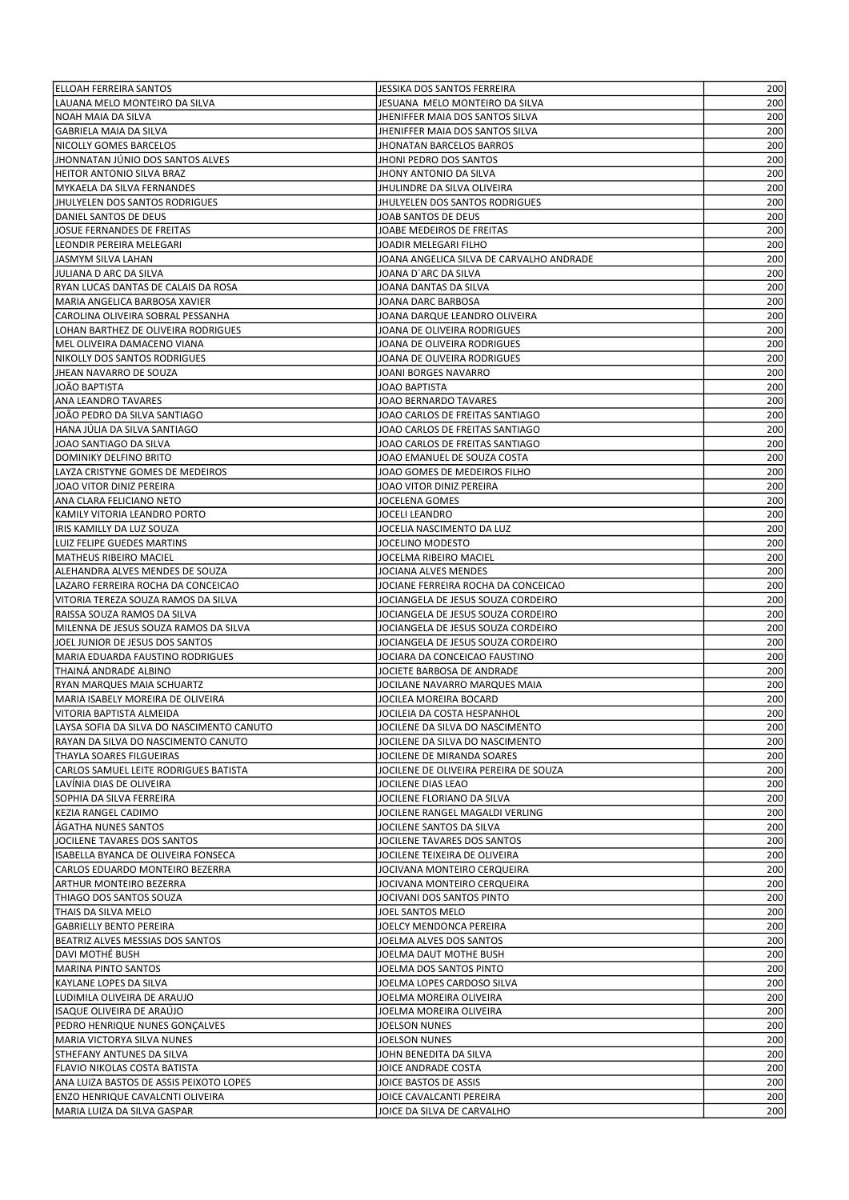| <b>ELLOAH FERREIRA SANTOS</b>                              | JESSIKA DOS SANTOS FERREIRA                             | 200        |
|------------------------------------------------------------|---------------------------------------------------------|------------|
| LAUANA MELO MONTEIRO DA SILVA                              | JESUANA MELO MONTEIRO DA SILVA                          | 200        |
| NOAH MAIA DA SILVA                                         | JHENIFFER MAIA DOS SANTOS SILVA                         | 200        |
| <b>GABRIELA MAIA DA SILVA</b>                              | JHENIFFER MAIA DOS SANTOS SILVA                         | 200        |
| NICOLLY GOMES BARCELOS                                     | <b>JHONATAN BARCELOS BARROS</b>                         | 200        |
| JHONNATAN JÚNIO DOS SANTOS ALVES                           | JHONI PEDRO DOS SANTOS                                  | 200        |
| HEITOR ANTONIO SILVA BRAZ                                  | JHONY ANTONIO DA SILVA                                  | 200        |
| MYKAELA DA SILVA FERNANDES                                 | JHULINDRE DA SILVA OLIVEIRA                             | 200        |
| JHULYELEN DOS SANTOS RODRIGUES                             | JHULYELEN DOS SANTOS RODRIGUES                          | 200        |
| DANIEL SANTOS DE DEUS                                      | JOAB SANTOS DE DEUS                                     | 200        |
| JOSUE FERNANDES DE FREITAS                                 | JOABE MEDEIROS DE FREITAS                               | 200        |
| LEONDIR PEREIRA MELEGARI                                   | JOADIR MELEGARI FILHO                                   | 200        |
| JASMYM SILVA LAHAN                                         | JOANA ANGELICA SILVA DE CARVALHO ANDRADE                | 200        |
| JULIANA D ARC DA SILVA                                     | JOANA D´ARC DA SILVA                                    | 200        |
| RYAN LUCAS DANTAS DE CALAIS DA ROSA                        | JOANA DANTAS DA SILVA                                   | 200        |
| MARIA ANGELICA BARBOSA XAVIER                              | JOANA DARC BARBOSA                                      | 200        |
| CAROLINA OLIVEIRA SOBRAL PESSANHA                          | JOANA DARQUE LEANDRO OLIVEIRA                           | 200        |
| LOHAN BARTHEZ DE OLIVEIRA RODRIGUES                        | JOANA DE OLIVEIRA RODRIGUES                             | 200        |
| MEL OLIVEIRA DAMACENO VIANA                                | JOANA DE OLIVEIRA RODRIGUES                             | 200        |
| NIKOLLY DOS SANTOS RODRIGUES                               | JOANA DE OLIVEIRA RODRIGUES                             | 200        |
| JHEAN NAVARRO DE SOUZA                                     | JOANI BORGES NAVARRO                                    | 200        |
| JOÃO BAPTISTA                                              | JOAO BAPTISTA                                           | 200        |
| ANA LEANDRO TAVARES                                        | JOAO BERNARDO TAVARES                                   | 200        |
| JOÃO PEDRO DA SILVA SANTIAGO                               | JOAO CARLOS DE FREITAS SANTIAGO                         | 200        |
| HANA JÚLIA DA SILVA SANTIAGO                               | JOAO CARLOS DE FREITAS SANTIAGO                         | 200        |
| JOAO SANTIAGO DA SILVA                                     | JOAO CARLOS DE FREITAS SANTIAGO                         | 200        |
| DOMINIKY DELFINO BRITO                                     | JOAO EMANUEL DE SOUZA COSTA                             | 200        |
| LAYZA CRISTYNE GOMES DE MEDEIROS                           | JOAO GOMES DE MEDEIROS FILHO                            | 200        |
| JOAO VITOR DINIZ PEREIRA                                   | JOAO VITOR DINIZ PEREIRA                                | 200        |
| ANA CLARA FELICIANO NETO                                   | JOCELENA GOMES                                          | 200        |
| KAMILY VITORIA LEANDRO PORTO                               | JOCELI LEANDRO                                          | 200        |
| IRIS KAMILLY DA LUZ SOUZA                                  | JOCELIA NASCIMENTO DA LUZ                               | 200        |
| LUIZ FELIPE GUEDES MARTINS                                 | JOCELINO MODESTO                                        | 200        |
| MATHEUS RIBEIRO MACIEL                                     | JOCELMA RIBEIRO MACIEL                                  | 200        |
| ALEHANDRA ALVES MENDES DE SOUZA                            | JOCIANA ALVES MENDES                                    | 200        |
| LAZARO FERREIRA ROCHA DA CONCEICAO                         | JOCIANE FERREIRA ROCHA DA CONCEICAO                     | 200        |
| VITORIA TEREZA SOUZA RAMOS DA SILVA                        | JOCIANGELA DE JESUS SOUZA CORDEIRO                      | 200        |
| RAISSA SOUZA RAMOS DA SILVA                                | JOCIANGELA DE JESUS SOUZA CORDEIRO                      | 200        |
| MILENNA DE JESUS SOUZA RAMOS DA SILVA                      | JOCIANGELA DE JESUS SOUZA CORDEIRO                      | 200        |
| JOEL JUNIOR DE JESUS DOS SANTOS                            | JOCIANGELA DE JESUS SOUZA CORDEIRO                      | 200        |
| MARIA EDUARDA FAUSTINO RODRIGUES                           | JOCIARA DA CONCEICAO FAUSTINO                           | 200        |
| THAINA ANDRADE ALBINO<br><b>RYAN MARQUES MAIA SCHUARTZ</b> | JOCIETE BARBOSA DE ANDRADE                              | 200        |
| MARIA ISABELY MOREIRA DE OLIVEIRA                          | JOCILANE NAVARRO MARQUES MAIA<br>JOCILEA MOREIRA BOCARD | 200<br>200 |
| VITORIA BAPTISTA ALMEIDA                                   | JOCILEIA DA COSTA HESPANHOL                             | 200        |
| LAYSA SOFIA DA SILVA DO NASCIMENTO CANUTO                  | JOCILENE DA SILVA DO NASCIMENTO                         | 200        |
| RAYAN DA SILVA DO NASCIMENTO CANUTO                        | JOCILENE DA SILVA DO NASCIMENTO                         | 200        |
| THAYLA SOARES FILGUEIRAS                                   | JOCILENE DE MIRANDA SOARES                              | 200        |
| CARLOS SAMUEL LEITE RODRIGUES BATISTA                      | JOCILENE DE OLIVEIRA PEREIRA DE SOUZA                   | 200        |
| LAVÍNIA DIAS DE OLIVEIRA                                   | JOCILENE DIAS LEAO                                      | 200        |
| SOPHIA DA SILVA FERREIRA                                   | JOCILENE FLORIANO DA SILVA                              | 200        |
| KEZIA RANGEL CADIMO                                        | JOCILENE RANGEL MAGALDI VERLING                         | 200        |
| ÁGATHA NUNES SANTOS                                        | JOCILENE SANTOS DA SILVA                                | 200        |
| JOCILENE TAVARES DOS SANTOS                                | JOCILENE TAVARES DOS SANTOS                             | 200        |
| ISABELLA BYANCA DE OLIVEIRA FONSECA                        | JOCILENE TEIXEIRA DE OLIVEIRA                           | 200        |
| CARLOS EDUARDO MONTEIRO BEZERRA                            | JOCIVANA MONTEIRO CERQUEIRA                             | 200        |
| <b>ARTHUR MONTEIRO BEZERRA</b>                             | JOCIVANA MONTEIRO CERQUEIRA                             | 200        |
| THIAGO DOS SANTOS SOUZA                                    | JOCIVANI DOS SANTOS PINTO                               | 200        |
| THAIS DA SILVA MELO                                        | JOEL SANTOS MELO                                        | 200        |
| GABRIELLY BENTO PEREIRA                                    | JOELCY MENDONCA PEREIRA                                 | 200        |
| BEATRIZ ALVES MESSIAS DOS SANTOS                           | JOELMA ALVES DOS SANTOS                                 | 200        |
| DAVI MOTHÉ BUSH                                            | JOELMA DAUT MOTHE BUSH                                  | 200        |
| MARINA PINTO SANTOS                                        | JOELMA DOS SANTOS PINTO                                 | 200        |
| KAYLANE LOPES DA SILVA                                     | JOELMA LOPES CARDOSO SILVA                              | 200        |
| LUDIMILA OLIVEIRA DE ARAUJO                                | JOELMA MOREIRA OLIVEIRA                                 | 200        |
| ISAQUE OLIVEIRA DE ARAÚJO                                  | JOELMA MOREIRA OLIVEIRA                                 | 200        |
| PEDRO HENRIQUE NUNES GONÇALVES                             | JOELSON NUNES                                           | 200        |
| MARIA VICTORYA SILVA NUNES                                 | JOELSON NUNES                                           | 200        |
| STHEFANY ANTUNES DA SILVA                                  | JOHN BENEDITA DA SILVA                                  | 200        |
| FLAVIO NIKOLAS COSTA BATISTA                               | JOICE ANDRADE COSTA                                     | 200        |
| ANA LUIZA BASTOS DE ASSIS PEIXOTO LOPES                    | JOICE BASTOS DE ASSIS                                   | 200        |
| <b>ENZO HENRIQUE CAVALCNTI OLIVEIRA</b>                    | JOICE CAVALCANTI PEREIRA                                | 200        |
| MARIA LUIZA DA SILVA GASPAR                                | JOICE DA SILVA DE CARVALHO                              | 200        |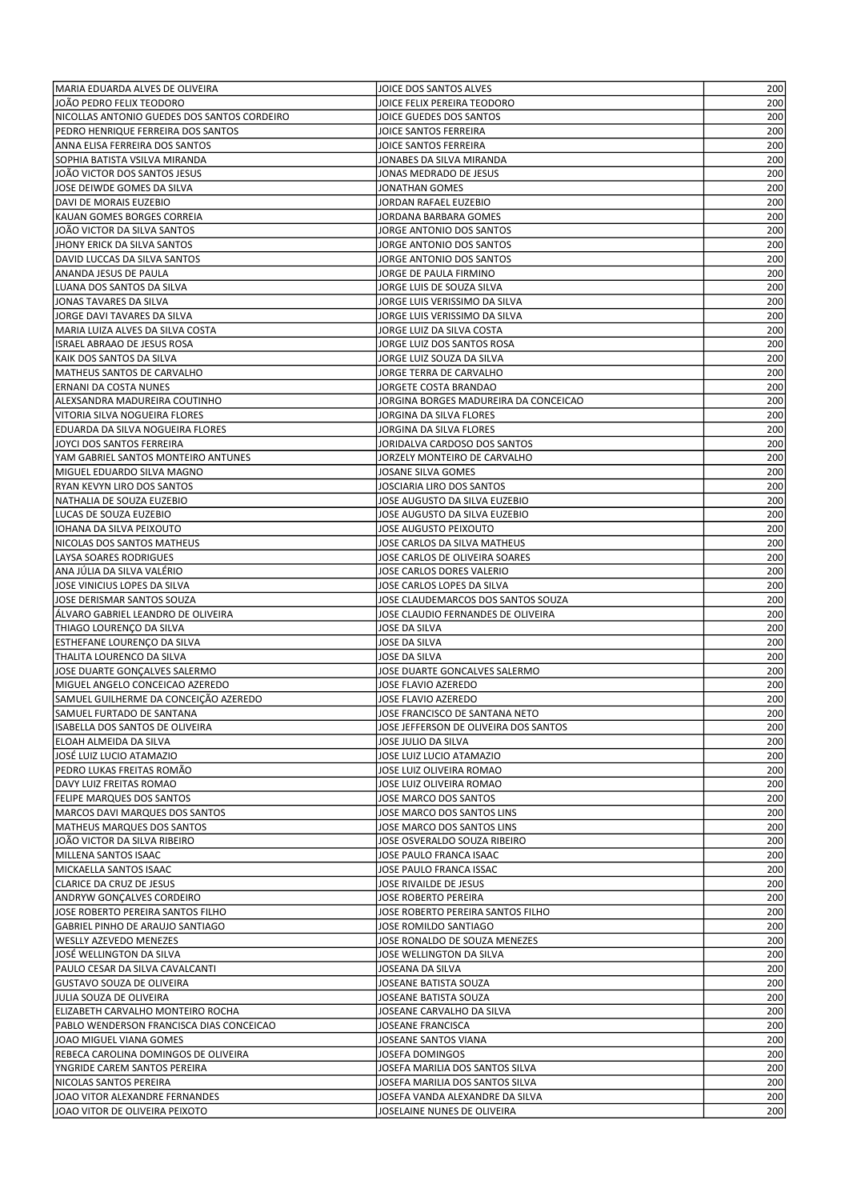| MARIA EDUARDA ALVES DE OLIVEIRA                                    | JOICE DOS SANTOS ALVES                                                   | 200        |
|--------------------------------------------------------------------|--------------------------------------------------------------------------|------------|
| JOÃO PEDRO FELIX TEODORO                                           | JOICE FELIX PEREIRA TEODORO                                              | 200        |
| NICOLLAS ANTONIO GUEDES DOS SANTOS CORDEIRO                        | JOICE GUEDES DOS SANTOS                                                  | 200        |
| PEDRO HENRIQUE FERREIRA DOS SANTOS                                 | JOICE SANTOS FERREIRA                                                    | 200        |
| ANNA ELISA FERREIRA DOS SANTOS                                     | JOICE SANTOS FERREIRA                                                    | 200        |
| SOPHIA BATISTA VSILVA MIRANDA                                      | JONABES DA SILVA MIRANDA                                                 | 200        |
| JOÃO VICTOR DOS SANTOS JESUS                                       | JONAS MEDRADO DE JESUS                                                   | 200        |
| JOSE DEIWDE GOMES DA SILVA<br>DAVI DE MORAIS EUZEBIO               | JONATHAN GOMES<br>JORDAN RAFAEL EUZEBIO                                  | 200<br>200 |
| KAUAN GOMES BORGES CORREIA                                         | JORDANA BARBARA GOMES                                                    | 200        |
| JOÃO VICTOR DA SILVA SANTOS                                        | JORGE ANTONIO DOS SANTOS                                                 | 200        |
| JHONY ERICK DA SILVA SANTOS                                        | JORGE ANTONIO DOS SANTOS                                                 | 200        |
| DAVID LUCCAS DA SILVA SANTOS                                       | JORGE ANTONIO DOS SANTOS                                                 | 200        |
| ANANDA JESUS DE PAULA                                              | JORGE DE PAULA FIRMINO                                                   | 200        |
| LUANA DOS SANTOS DA SILVA                                          | JORGE LUIS DE SOUZA SILVA                                                | 200        |
| JONAS TAVARES DA SILVA                                             | JORGE LUIS VERISSIMO DA SILVA                                            | 200        |
| JORGE DAVI TAVARES DA SILVA                                        | JORGE LUIS VERISSIMO DA SILVA                                            | 200        |
| MARIA LUIZA ALVES DA SILVA COSTA                                   | JORGE LUIZ DA SILVA COSTA                                                | 200        |
| ISRAEL ABRAAO DE JESUS ROSA                                        | JORGE LUIZ DOS SANTOS ROSA                                               | 200        |
| KAIK DOS SANTOS DA SILVA                                           | JORGE LUIZ SOUZA DA SILVA                                                | 200        |
| MATHEUS SANTOS DE CARVALHO                                         | JORGE TERRA DE CARVALHO                                                  | 200        |
| ERNANI DA COSTA NUNES                                              | JORGETE COSTA BRANDAO<br>JORGINA BORGES MADUREIRA DA CONCEICAO           | 200<br>200 |
| ALEXSANDRA MADUREIRA COUTINHO<br>VITORIA SILVA NOGUEIRA FLORES     | JORGINA DA SILVA FLORES                                                  | 200        |
| EDUARDA DA SILVA NOGUEIRA FLORES                                   | JORGINA DA SILVA FLORES                                                  | 200        |
| JOYCI DOS SANTOS FERREIRA                                          | JORIDALVA CARDOSO DOS SANTOS                                             | 200        |
| YAM GABRIEL SANTOS MONTEIRO ANTUNES                                | JORZELY MONTEIRO DE CARVALHO                                             | 200        |
| MIGUEL EDUARDO SILVA MAGNO                                         | JOSANE SILVA GOMES                                                       | 200        |
| RYAN KEVYN LIRO DOS SANTOS                                         | JOSCIARIA LIRO DOS SANTOS                                                | 200        |
| NATHALIA DE SOUZA EUZEBIO                                          | JOSE AUGUSTO DA SILVA EUZEBIO                                            | 200        |
| LUCAS DE SOUZA EUZEBIO                                             | JOSE AUGUSTO DA SILVA EUZEBIO                                            | 200        |
| IOHANA DA SILVA PEIXOUTO                                           | JOSE AUGUSTO PEIXOUTO                                                    | 200        |
| NICOLAS DOS SANTOS MATHEUS                                         | JOSE CARLOS DA SILVA MATHEUS                                             | 200        |
| LAYSA SOARES RODRIGUES                                             | JOSE CARLOS DE OLIVEIRA SOARES                                           | 200        |
| ANA JÚLIA DA SILVA VALÉRIO                                         | JOSE CARLOS DORES VALERIO                                                | 200        |
| JOSE VINICIUS LOPES DA SILVA                                       | JOSE CARLOS LOPES DA SILVA                                               | 200        |
| JOSE DERISMAR SANTOS SOUZA<br>ÁLVARO GABRIEL LEANDRO DE OLIVEIRA   | JOSE CLAUDEMARCOS DOS SANTOS SOUZA<br>JOSE CLAUDIO FERNANDES DE OLIVEIRA | 200<br>200 |
| THIAGO LOURENÇO DA SILVA                                           | JOSE DA SILVA                                                            | 200        |
| ESTHEFANE LOURENÇO DA SILVA                                        | JOSE DA SILVA                                                            | 200        |
| THALITA LOURENCO DA SILVA                                          | JOSE DA SILVA                                                            | 200        |
| JOSE DUARTE GONCALVES SALERMO                                      | JOSE DUARTE GONCALVES SALERMO                                            | 200        |
| MIGUEL ANGELO CONCEICAO AZEREDO                                    | JOSE FLAVIO AZEREDO                                                      | 200        |
| SAMUEL GUILHERME DA CONCEIÇÃO AZEREDO                              | JOSE FLAVIO AZEREDO                                                      | 200        |
| SAMUEL FURTADO DE SANTANA                                          | JOSE FRANCISCO DE SANTANA NETO                                           | 200        |
| ISABELLA DOS SANTOS DE OLIVEIRA                                    | JOSE JEFFERSON DE OLIVEIRA DOS SANTOS                                    | 200        |
| ELOAH ALMEIDA DA SILVA                                             | JOSE JULIO DA SILVA                                                      | 200        |
| JOSÉ LUIZ LUCIO ATAMAZIO                                           | JOSE LUIZ LUCIO ATAMAZIO                                                 | 200        |
| PEDRO LUKAS FREITAS ROMÃO                                          | JOSE LUIZ OLIVEIRA ROMAO                                                 | 200        |
| <b>DAVY LUIZ FREITAS ROMAO</b><br><b>FELIPE MARQUES DOS SANTOS</b> | JOSE LUIZ OLIVEIRA ROMAO                                                 | 200<br>200 |
| MARCOS DAVI MARQUES DOS SANTOS                                     | JOSE MARCO DOS SANTOS<br>JOSE MARCO DOS SANTOS LINS                      | 200        |
| MATHEUS MARQUES DOS SANTOS                                         | JOSE MARCO DOS SANTOS LINS                                               | 200        |
| JOÃO VICTOR DA SILVA RIBEIRO                                       | JOSE OSVERALDO SOUZA RIBEIRO                                             | 200        |
| MILLENA SANTOS ISAAC                                               | JOSE PAULO FRANCA ISAAC                                                  | 200        |
| MICKAELLA SANTOS ISAAC                                             | JOSE PAULO FRANCA ISSAC                                                  | 200        |
| CLARICE DA CRUZ DE JESUS                                           | JOSE RIVAILDE DE JESUS                                                   | 200        |
| ANDRYW GONÇALVES CORDEIRO                                          | JOSE ROBERTO PEREIRA                                                     | 200        |
| JOSE ROBERTO PEREIRA SANTOS FILHO                                  | JOSE ROBERTO PEREIRA SANTOS FILHO                                        | 200        |
| GABRIEL PINHO DE ARAUJO SANTIAGO                                   | JOSE ROMILDO SANTIAGO                                                    | 200        |
| WESLLY AZEVEDO MENEZES                                             | JOSE RONALDO DE SOUZA MENEZES                                            | 200        |
| JOSÉ WELLINGTON DA SILVA                                           | JOSE WELLINGTON DA SILVA                                                 | 200        |
| PAULO CESAR DA SILVA CAVALCANTI                                    | JOSEANA DA SILVA                                                         | 200        |
| <b>GUSTAVO SOUZA DE OLIVEIRA</b>                                   | JOSEANE BATISTA SOUZA                                                    | 200        |
| JULIA SOUZA DE OLIVEIRA<br>ELIZABETH CARVALHO MONTEIRO ROCHA       | JOSEANE BATISTA SOUZA<br>JOSEANE CARVALHO DA SILVA                       | 200<br>200 |
| PABLO WENDERSON FRANCISCA DIAS CONCEICAO                           | JOSEANE FRANCISCA                                                        | 200        |
| JOAO MIGUEL VIANA GOMES                                            | JOSEANE SANTOS VIANA                                                     | 200        |
| REBECA CAROLINA DOMINGOS DE OLIVEIRA                               | JOSEFA DOMINGOS                                                          | 200        |
| YNGRIDE CAREM SANTOS PEREIRA                                       | JOSEFA MARILIA DOS SANTOS SILVA                                          | 200        |
| NICOLAS SANTOS PEREIRA                                             | JOSEFA MARILIA DOS SANTOS SILVA                                          | 200        |
| JOAO VITOR ALEXANDRE FERNANDES                                     | JOSEFA VANDA ALEXANDRE DA SILVA                                          | 200        |
| JOAO VITOR DE OLIVEIRA PEIXOTO                                     | JOSELAINE NUNES DE OLIVEIRA                                              | 200        |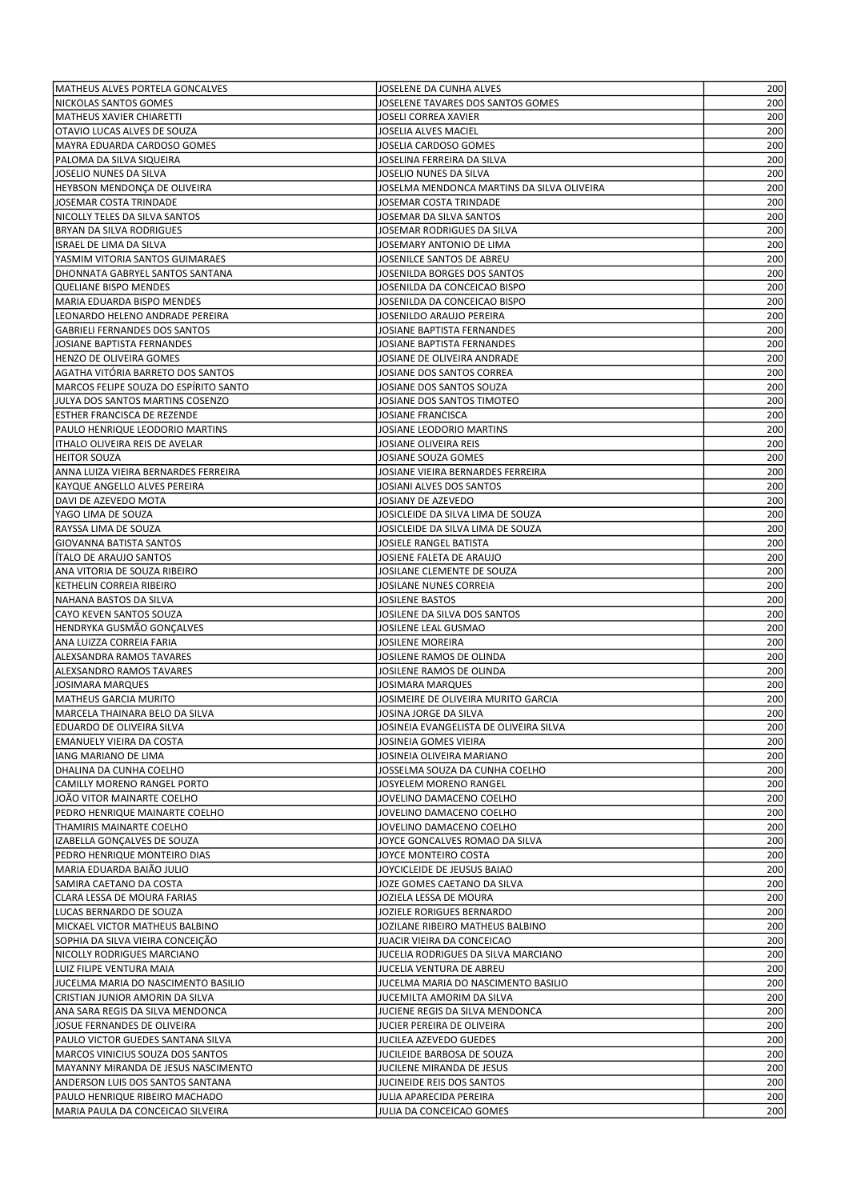| MATHEUS ALVES PORTELA GONCALVES                                           | JOSELENE DA CUNHA ALVES                                              | 200        |
|---------------------------------------------------------------------------|----------------------------------------------------------------------|------------|
| NICKOLAS SANTOS GOMES                                                     | JOSELENE TAVARES DOS SANTOS GOMES                                    | 200        |
| MATHEUS XAVIER CHIARETTI                                                  | JOSELI CORREA XAVIER                                                 | 200        |
| OTAVIO LUCAS ALVES DE SOUZA                                               | JOSELIA ALVES MACIEL                                                 | 200        |
| MAYRA EDUARDA CARDOSO GOMES                                               | JOSELIA CARDOSO GOMES                                                | 200        |
| PALOMA DA SILVA SIQUEIRA                                                  | JOSELINA FERREIRA DA SILVA                                           | 200        |
| JOSELIO NUNES DA SILVA                                                    | JOSELIO NUNES DA SILVA                                               | 200        |
| HEYBSON MENDONÇA DE OLIVEIRA<br>JOSEMAR COSTA TRINDADE                    | JOSELMA MENDONCA MARTINS DA SILVA OLIVEIRA<br>JOSEMAR COSTA TRINDADE | 200<br>200 |
| NICOLLY TELES DA SILVA SANTOS                                             | JOSEMAR DA SILVA SANTOS                                              | 200        |
| <b>BRYAN DA SILVA RODRIGUES</b>                                           | JOSEMAR RODRIGUES DA SILVA                                           | 200        |
| ISRAEL DE LIMA DA SILVA                                                   | JOSEMARY ANTONIO DE LIMA                                             | 200        |
| YASMIM VITORIA SANTOS GUIMARAES                                           | JOSENILCE SANTOS DE ABREU                                            | 200        |
| DHONNATA GABRYEL SANTOS SANTANA                                           | JOSENILDA BORGES DOS SANTOS                                          | 200        |
| QUELIANE BISPO MENDES                                                     | JOSENILDA DA CONCEICAO BISPO                                         | 200        |
| MARIA EDUARDA BISPO MENDES                                                | JOSENILDA DA CONCEICAO BISPO                                         | 200        |
| LEONARDO HELENO ANDRADE PEREIRA                                           | JOSENILDO ARAUJO PEREIRA                                             | 200        |
| GABRIELI FERNANDES DOS SANTOS                                             | JOSIANE BAPTISTA FERNANDES                                           | 200        |
| JOSIANE BAPTISTA FERNANDES                                                | JOSIANE BAPTISTA FERNANDES                                           | 200        |
| <b>HENZO DE OLIVEIRA GOMES</b>                                            | JOSIANE DE OLIVEIRA ANDRADE                                          | 200        |
| AGATHA VITÓRIA BARRETO DOS SANTOS                                         | JOSIANE DOS SANTOS CORREA                                            | 200        |
| MARCOS FELIPE SOUZA DO ESPÍRITO SANTO<br>JULYA DOS SANTOS MARTINS COSENZO | JOSIANE DOS SANTOS SOUZA<br>JOSIANE DOS SANTOS TIMOTEO               | 200<br>200 |
| ESTHER FRANCISCA DE REZENDE                                               | JOSIANE FRANCISCA                                                    | 200        |
| PAULO HENRIQUE LEODORIO MARTINS                                           | JOSIANE LEODORIO MARTINS                                             | 200        |
| ITHALO OLIVEIRA REIS DE AVELAR                                            | JOSIANE OLIVEIRA REIS                                                | 200        |
| <b>HEITOR SOUZA</b>                                                       | JOSIANE SOUZA GOMES                                                  | 200        |
| ANNA LUIZA VIEIRA BERNARDES FERREIRA                                      | JOSIANE VIEIRA BERNARDES FERREIRA                                    | 200        |
| KAYQUE ANGELLO ALVES PEREIRA                                              | JOSIANI ALVES DOS SANTOS                                             | 200        |
| DAVI DE AZEVEDO MOTA                                                      | JOSIANY DE AZEVEDO                                                   | 200        |
| YAGO LIMA DE SOUZA                                                        | JOSICLEIDE DA SILVA LIMA DE SOUZA                                    | 200        |
| RAYSSA LIMA DE SOUZA                                                      | JOSICLEIDE DA SILVA LIMA DE SOUZA                                    | 200        |
| GIOVANNA BATISTA SANTOS                                                   | JOSIELE RANGEL BATISTA                                               | 200        |
| ÍTALO DE ARAUJO SANTOS                                                    | JOSIENE FALETA DE ARAUJO                                             | 200        |
| ANA VITORIA DE SOUZA RIBEIRO                                              | JOSILANE CLEMENTE DE SOUZA                                           | 200        |
| KETHELIN CORREIA RIBEIRO                                                  | JOSILANE NUNES CORREIA                                               | 200        |
| NAHANA BASTOS DA SILVA                                                    | JOSILENE BASTOS                                                      | 200        |
| CAYO KEVEN SANTOS SOUZA                                                   | JOSILENE DA SILVA DOS SANTOS                                         | 200        |
| HENDRYKA GUSMÃO GONÇALVES                                                 | JOSILENE LEAL GUSMAO                                                 | 200        |
| ANA LUIZZA CORREIA FARIA                                                  | JOSILENE MOREIRA                                                     | 200        |
| <b>ALEXSANDRA RAMOS TAVARES</b>                                           | JOSILENE RAMOS DE OLINDA                                             | 200        |
| <b>ALEXSANDRO RAMOS TAVARES</b>                                           | JOSILENE RAMOS DE OLINDA                                             | 200        |
| JOSIMARA MARQUES<br><b>MATHEUS GARCIA MURITO</b>                          | JOSIMARA MARQUES<br>JOSIMEIRE DE OLIVEIRA MURITO GARCIA              | 200<br>200 |
| MARCELA THAINARA BELO DA SILVA                                            | JOSINA JORGE DA SILVA                                                | 200        |
| EDUARDO DE OLIVEIRA SILVA                                                 | JOSINEIA EVANGELISTA DE OLIVEIRA SILVA                               | 200        |
| EMANUELY VIEIRA DA COSTA                                                  | JOSINEIA GOMES VIEIRA                                                | 200        |
| IANG MARIANO DE LIMA                                                      | JOSINEIA OLIVEIRA MARIANO                                            | 200        |
| DHALINA DA CUNHA COELHO                                                   | JOSSELMA SOUZA DA CUNHA COELHO                                       | 200        |
| CAMILLY MORENO RANGEL PORTO                                               | JOSYELEM MORENO RANGEL                                               | 200        |
| JOÃO VITOR MAINARTE COELHO                                                | JOVELINO DAMACENO COELHO                                             | 200        |
| PEDRO HENRIQUE MAINARTE COELHO                                            | JOVELINO DAMACENO COELHO                                             | 200        |
| THAMIRIS MAINARTE COELHO                                                  | JOVELINO DAMACENO COELHO                                             | 200        |
| IZABELLA GONÇALVES DE SOUZA                                               | JOYCE GONCALVES ROMAO DA SILVA                                       | 200        |
| PEDRO HENRIQUE MONTEIRO DIAS                                              | JOYCE MONTEIRO COSTA                                                 | 200        |
| MARIA EDUARDA BAIÃO JULIO                                                 | JOYCICLEIDE DE JEUSUS BAIAO                                          | 200        |
| SAMIRA CAETANO DA COSTA                                                   | JOZE GOMES CAETANO DA SILVA                                          | 200        |
| CLARA LESSA DE MOURA FARIAS                                               | JOZIELA LESSA DE MOURA                                               | 200        |
| LUCAS BERNARDO DE SOUZA                                                   | JOZIELE RORIGUES BERNARDO                                            | 200        |
| MICKAEL VICTOR MATHEUS BALBINO                                            | JOZILANE RIBEIRO MATHEUS BALBINO                                     | 200        |
| SOPHIA DA SILVA VIEIRA CONCEIÇÃO                                          | JUACIR VIEIRA DA CONCEICAO                                           | 200        |
| NICOLLY RODRIGUES MARCIANO<br>LUIZ FILIPE VENTURA MAIA                    | JUCELIA RODRIGUES DA SILVA MARCIANO<br>JUCELIA VENTURA DE ABREU      | 200<br>200 |
| JUCELMA MARIA DO NASCIMENTO BASILIO                                       | JUCELMA MARIA DO NASCIMENTO BASILIO                                  | 200        |
| CRISTIAN JUNIOR AMORIN DA SILVA                                           | JUCEMILTA AMORIM DA SILVA                                            | 200        |
| ANA SARA REGIS DA SILVA MENDONCA                                          | JUCIENE REGIS DA SILVA MENDONCA                                      | 200        |
| JOSUE FERNANDES DE OLIVEIRA                                               | JUCIER PEREIRA DE OLIVEIRA                                           | 200        |
| PAULO VICTOR GUEDES SANTANA SILVA                                         | JUCILEA AZEVEDO GUEDES                                               | 200        |
| MARCOS VINICIUS SOUZA DOS SANTOS                                          | JUCILEIDE BARBOSA DE SOUZA                                           | 200        |
| MAYANNY MIRANDA DE JESUS NASCIMENTO                                       | JUCILENE MIRANDA DE JESUS                                            | 200        |
| ANDERSON LUIS DOS SANTOS SANTANA                                          | JUCINEIDE REIS DOS SANTOS                                            | 200        |
| PAULO HENRIQUE RIBEIRO MACHADO                                            | JULIA APARECIDA PEREIRA                                              | 200        |
| MARIA PAULA DA CONCEICAO SILVEIRA                                         | JULIA DA CONCEICAO GOMES                                             | 200        |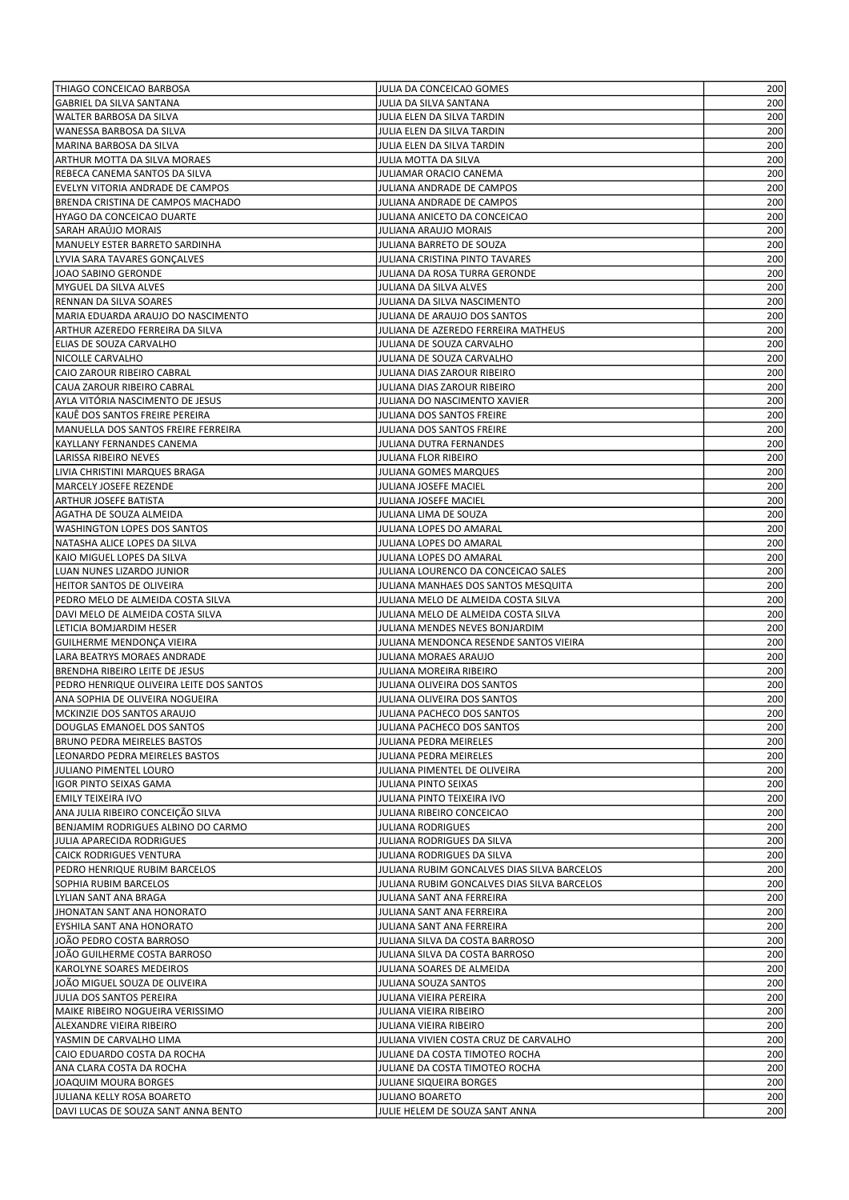| THIAGO CONCEICAO BARBOSA                 | JULIA DA CONCEICAO GOMES                                                 | 200 |
|------------------------------------------|--------------------------------------------------------------------------|-----|
| <b>GABRIEL DA SILVA SANTANA</b>          | JULIA DA SILVA SANTANA                                                   | 200 |
| WALTER BARBOSA DA SILVA                  | JULIA ELEN DA SILVA TARDIN                                               | 200 |
| WANESSA BARBOSA DA SILVA                 | JULIA ELEN DA SILVA TARDIN                                               | 200 |
| MARINA BARBOSA DA SILVA                  | JULIA ELEN DA SILVA TARDIN                                               | 200 |
| ARTHUR MOTTA DA SILVA MORAES             | JULIA MOTTA DA SILVA                                                     | 200 |
| REBECA CANEMA SANTOS DA SILVA            | JULIAMAR ORACIO CANEMA                                                   | 200 |
| EVELYN VITORIA ANDRADE DE CAMPOS         | JULIANA ANDRADE DE CAMPOS                                                | 200 |
| BRENDA CRISTINA DE CAMPOS MACHADO        | JULIANA ANDRADE DE CAMPOS                                                | 200 |
| HYAGO DA CONCEICAO DUARTE                | JULIANA ANICETO DA CONCEICAO                                             | 200 |
| SARAH ARAÚJO MORAIS                      | JULIANA ARAUJO MORAIS                                                    | 200 |
|                                          | JULIANA BARRETO DE SOUZA                                                 |     |
| MANUELY ESTER BARRETO SARDINHA           |                                                                          | 200 |
| LYVIA SARA TAVARES GONÇALVES             | JULIANA CRISTINA PINTO TAVARES                                           | 200 |
| JOAO SABINO GERONDE                      | JULIANA DA ROSA TURRA GERONDE                                            | 200 |
| MYGUEL DA SILVA ALVES                    | JULIANA DA SILVA ALVES                                                   | 200 |
| RENNAN DA SILVA SOARES                   | JULIANA DA SILVA NASCIMENTO                                              | 200 |
| MARIA EDUARDA ARAUJO DO NASCIMENTO       | JULIANA DE ARAUJO DOS SANTOS                                             | 200 |
| ARTHUR AZEREDO FERREIRA DA SILVA         | JULIANA DE AZEREDO FERREIRA MATHEUS                                      | 200 |
| ELIAS DE SOUZA CARVALHO                  | JULIANA DE SOUZA CARVALHO                                                | 200 |
| NICOLLE CARVALHO                         | JULIANA DE SOUZA CARVALHO                                                | 200 |
| CAIO ZAROUR RIBEIRO CABRAL               | JULIANA DIAS ZAROUR RIBEIRO                                              | 200 |
| CAUA ZAROUR RIBEIRO CABRAL               | JULIANA DIAS ZAROUR RIBEIRO                                              | 200 |
| AYLA VITÓRIA NASCIMENTO DE JESUS         | JULIANA DO NASCIMENTO XAVIER                                             | 200 |
| KAUE DOS SANTOS FREIRE PEREIRA           | JULIANA DOS SANTOS FREIRE                                                | 200 |
| MANUELLA DOS SANTOS FREIRE FERREIRA      | JULIANA DOS SANTOS FREIRE                                                | 200 |
| KAYLLANY FERNANDES CANEMA                | JULIANA DUTRA FERNANDES                                                  | 200 |
| LARISSA RIBEIRO NEVES                    | JULIANA FLOR RIBEIRO                                                     | 200 |
| LIVIA CHRISTINI MARQUES BRAGA            | JULIANA GOMES MARQUES                                                    | 200 |
| MARCELY JOSEFE REZENDE                   | JULIANA JOSEFE MACIEL                                                    | 200 |
| ARTHUR JOSEFE BATISTA                    | JULIANA JOSEFE MACIEL                                                    | 200 |
| AGATHA DE SOUZA ALMEIDA                  | JULIANA LIMA DE SOUZA                                                    | 200 |
| <b>WASHINGTON LOPES DOS SANTOS</b>       | JULIANA LOPES DO AMARAL                                                  | 200 |
| NATASHA ALICE LOPES DA SILVA             | JULIANA LOPES DO AMARAL                                                  | 200 |
| KAIO MIGUEL LOPES DA SILVA               | JULIANA LOPES DO AMARAL                                                  | 200 |
| LUAN NUNES LIZARDO JUNIOR                | JULIANA LOURENCO DA CONCEICAO SALES                                      | 200 |
| HEITOR SANTOS DE OLIVEIRA                | JULIANA MANHAES DOS SANTOS MESQUITA                                      | 200 |
| PEDRO MELO DE ALMEIDA COSTA SILVA        | JULIANA MELO DE ALMEIDA COSTA SILVA                                      | 200 |
| DAVI MELO DE ALMEIDA COSTA SILVA         | JULIANA MELO DE ALMEIDA COSTA SILVA                                      | 200 |
|                                          |                                                                          |     |
| LETICIA BOMJARDIM HESER                  | JULIANA MENDES NEVES BONJARDIM<br>JULIANA MENDONCA RESENDE SANTOS VIEIRA | 200 |
| GUILHERME MENDONÇA VIEIRA                |                                                                          | 200 |
| LARA BEATRYS MORAES ANDRADE              | JULIANA MORAES ARAUJO                                                    | 200 |
| BRENDHA RIBEIRO LEITE DE JESUS           | JULIANA MOREIRA RIBEIRO                                                  | 200 |
| PEDRO HENRIQUE OLIVEIRA LEITE DOS SANTOS | JULIANA OLIVEIRA DOS SANTOS                                              | 200 |
| ANA SOPHIA DE OLIVEIRA NOGUEIRA          | JULIANA OLIVEIRA DOS SANTOS                                              | 200 |
| MCKINZIE DOS SANTOS ARAUJO               | JULIANA PACHECO DOS SANTOS                                               | 200 |
| DOUGLAS EMANOEL DOS SANTOS               | JULIANA PACHECO DOS SANTOS                                               | 200 |
| BRUNO PEDRA MEIRELES BASTOS              | JULIANA PEDRA MEIRELES                                                   | 200 |
| LEONARDO PEDRA MEIRELES BASTOS           | JULIANA PEDRA MEIRELES                                                   | 200 |
| JULIANO PIMENTEL LOURO                   | JULIANA PIMENTEL DE OLIVEIRA                                             | 200 |
| IIGOR PINTO SEIXAS GAMA                  | JULIANA PINTO SEIXAS                                                     | 200 |
| EMILY TEIXEIRA IVO                       | JULIANA PINTO TEIXEIRA IVO                                               | 200 |
| ANA JULIA RIBEIRO CONCEIÇÃO SILVA        | JULIANA RIBEIRO CONCEICAO                                                | 200 |
| BENJAMIM RODRIGUES ALBINO DO CARMO       | <b>JULIANA RODRIGUES</b>                                                 | 200 |
| JULIA APARECIDA RODRIGUES                | JULIANA RODRIGUES DA SILVA                                               | 200 |
| CAICK RODRIGUES VENTURA                  | JULIANA RODRIGUES DA SILVA                                               | 200 |
| PEDRO HENRIQUE RUBIM BARCELOS            | JULIANA RUBIM GONCALVES DIAS SILVA BARCELOS                              | 200 |
| SOPHIA RUBIM BARCELOS                    | JULIANA RUBIM GONCALVES DIAS SILVA BARCELOS                              | 200 |
| LYLIAN SANT ANA BRAGA                    | JULIANA SANT ANA FERREIRA                                                | 200 |
| JHONATAN SANT ANA HONORATO               | JULIANA SANT ANA FERREIRA                                                | 200 |
| EYSHILA SANT ANA HONORATO                | JULIANA SANT ANA FERREIRA                                                | 200 |
| JOÃO PEDRO COSTA BARROSO                 | JULIANA SILVA DA COSTA BARROSO                                           | 200 |
| JOÃO GUILHERME COSTA BARROSO             | JULIANA SILVA DA COSTA BARROSO                                           | 200 |
| KAROLYNE SOARES MEDEIROS                 | JULIANA SOARES DE ALMEIDA                                                | 200 |
| JOÃO MIGUEL SOUZA DE OLIVEIRA            | JULIANA SOUZA SANTOS                                                     | 200 |
| JULIA DOS SANTOS PEREIRA                 | JULIANA VIEIRA PEREIRA                                                   | 200 |
| MAIKE RIBEIRO NOGUEIRA VERISSIMO         | JULIANA VIEIRA RIBEIRO                                                   | 200 |
| ALEXANDRE VIEIRA RIBEIRO                 | JULIANA VIEIRA RIBEIRO                                                   | 200 |
| YASMIN DE CARVALHO LIMA                  | JULIANA VIVIEN COSTA CRUZ DE CARVALHO                                    | 200 |
| CAIO EDUARDO COSTA DA ROCHA              | JULIANE DA COSTA TIMOTEO ROCHA                                           | 200 |
| ANA CLARA COSTA DA ROCHA                 | JULIANE DA COSTA TIMOTEO ROCHA                                           | 200 |
| JOAQUIM MOURA BORGES                     | JULIANE SIQUEIRA BORGES                                                  | 200 |
| JULIANA KELLY ROSA BOARETO               | JULIANO BOARETO                                                          | 200 |
| DAVI LUCAS DE SOUZA SANT ANNA BENTO      | JULIE HELEM DE SOUZA SANT ANNA                                           | 200 |
|                                          |                                                                          |     |